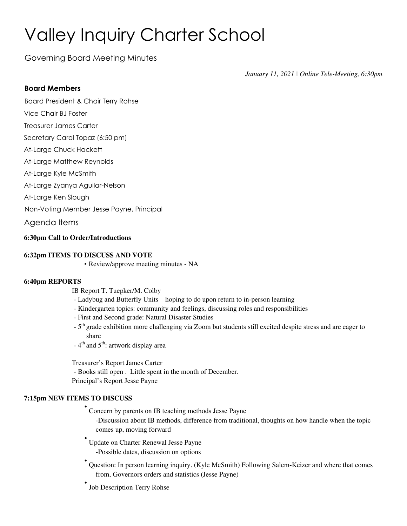# Valley Inquiry Charter School

Governing Board Meeting Minutes

*January 11, 2021 | Online Tele-Meeting, 6:30pm*

#### **Board Members**

Board President & Chair Terry Rohse

- Vice Chair BJ Foster
- Treasurer James Carter
- Secretary Carol Topaz (6:50 pm)
- At-Large Chuck Hackett
- At-Large Matthew Reynolds
- At-Large Kyle McSmith
- At-Large Zyanya Aguilar-Nelson
- At-Large Ken Slough
- Non-Voting Member Jesse Payne, Principal

Agenda Items

#### **6:30pm Call to Order/Introductions**

#### **6:32pm ITEMS TO DISCUSS AND VOTE**

▪ Review/approve meeting minutes - NA

#### **6:40pm REPORTS**

IB Report T. Tuepker/M. Colby

- Ladybug and Butterfly Units hoping to do upon return to in-person learning
- Kindergarten topics: community and feelings, discussing roles and responsibilities
- First and Second grade: Natural Disaster Studies
- 5<sup>th</sup> grade exhibition more challenging via Zoom but students still excited despite stress and are eager to share
- 4<sup>th</sup> and 5<sup>th</sup>: artwork display area

Treasurer's Report James Carter - Books still open . Little spent in the month of December. Principal's Report Jesse Payne

#### **7:15pm NEW ITEMS TO DISCUSS**

• Concern by parents on IB teaching methods Jesse Payne

-Discussion about IB methods, difference from traditional, thoughts on how handle when the topic comes up, moving forward

- Update on Charter Renewal Jesse Payne -Possible dates, discussion on options
- Question: In person learning inquiry. (Kyle McSmith) Following Salem-Keizer and where that comes from, Governors orders and statistics (Jesse Payne)
- Job Description Terry Rohse